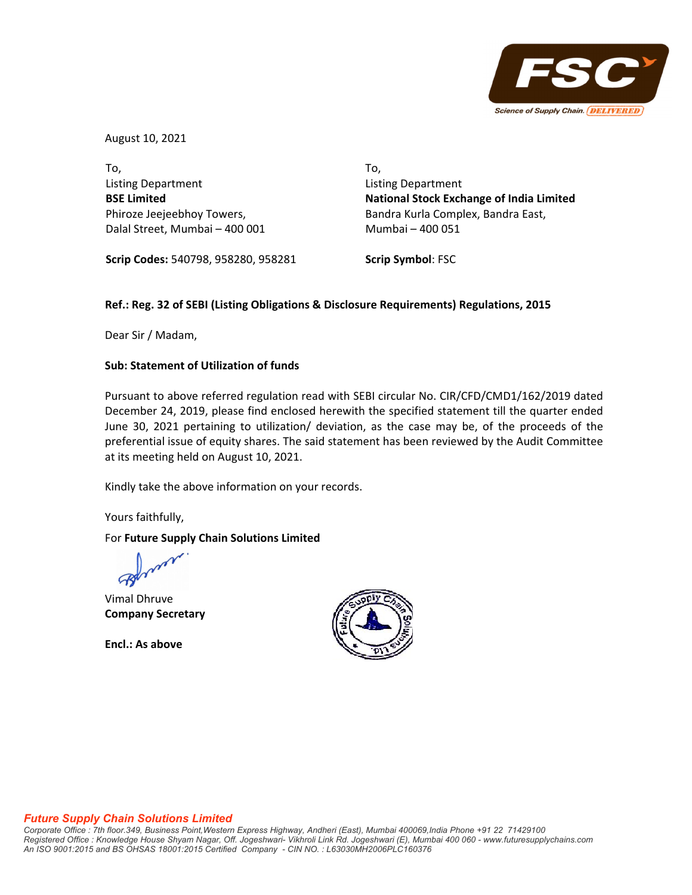

August 10, 2021

To, Listing Department **BSE Limited** Phiroze Jeejeebhoy Towers, Dalal Street, Mumbai – 400 001 To, Listing Department **National Stock Exchange of India Limited** Bandra Kurla Complex, Bandra East, Mumbai – 400 051

**Scrip Codes:** 540798, 958280, 958281

**Scrip Symbol**: FSC

# **Ref.: Reg. 32 of SEBI (Listing Obligations & Disclosure Requirements) Regulations, 2015**

Dear Sir / Madam,

## **Sub: Statement of Utilization of funds**

Pursuant to above referred regulation read with SEBI circular No. CIR/CFD/CMD1/162/2019 dated December 24, 2019, please find enclosed herewith the specified statement till the quarter ended June 30, 2021 pertaining to utilization/ deviation, as the case may be, of the proceeds of the preferential issue of equity shares. The said statement has been reviewed by the Audit Committee at its meeting held on August 10, 2021.

Kindly take the above information on your records.

Yours faithfully,

## For **Future Supply Chain Solutions Limited**

Vimal Dhruve **Company Secretary**

**Encl.: As above**



#### *Future Supply Chain Solutions Limited*